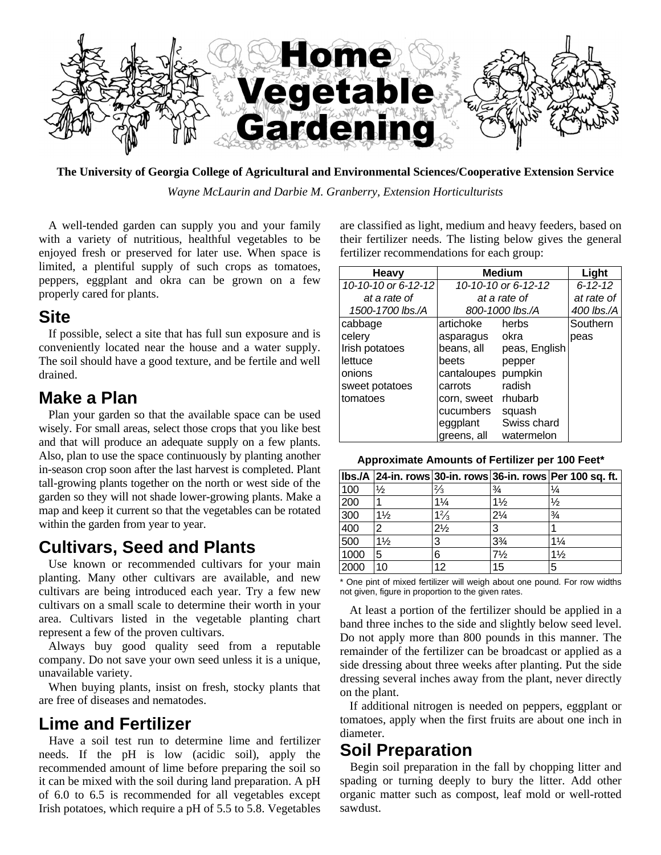

**The University of Georgia College of Agricultural and Environmental Sciences/Cooperative Extension Service**

*Wayne McLaurin and Darbie M. Granberry, Extension Horticulturists*

A well-tended garden can supply you and your family with a variety of nutritious, healthful vegetables to be enjoyed fresh or preserved for later use. When space is limited, a plentiful supply of such crops as tomatoes, peppers, eggplant and okra can be grown on a few properly cared for plants.

#### **Site**

If possible, select a site that has full sun exposure and is conveniently located near the house and a water supply. The soil should have a good texture, and be fertile and well drained.

#### **Make a Plan**

Plan your garden so that the available space can be used wisely. For small areas, select those crops that you like best and that will produce an adequate supply on a few plants. Also, plan to use the space continuously by planting another in-season crop soon after the last harvest is completed. Plant tall-growing plants together on the north or west side of the garden so they will not shade lower-growing plants. Make a map and keep it current so that the vegetables can be rotated within the garden from year to year.

### **Cultivars, Seed and Plants**

Use known or recommended cultivars for your main planting. Many other cultivars are available, and new cultivars are being introduced each year. Try a few new cultivars on a small scale to determine their worth in your area. Cultivars listed in the vegetable planting chart represent a few of the proven cultivars.

Always buy good quality seed from a reputable company. Do not save your own seed unless it is a unique, unavailable variety.

When buying plants, insist on fresh, stocky plants that are free of diseases and nematodes.

#### **Lime and Fertilizer**

Have a soil test run to determine lime and fertilizer needs. If the pH is low (acidic soil), apply the recommended amount of lime before preparing the soil so it can be mixed with the soil during land preparation. A pH of 6.0 to 6.5 is recommended for all vegetables except Irish potatoes, which require a pH of 5.5 to 5.8. Vegetables

are classified as light, medium and heavy feeders, based on their fertilizer needs. The listing below gives the general fertilizer recommendations for each group:

| <b>Heavy</b>        | <b>Medium</b>       | Light         |          |
|---------------------|---------------------|---------------|----------|
| 10-10-10 or 6-12-12 | 10-10-10 or 6-12-12 | $6 - 12 - 12$ |          |
| at a rate of        | at a rate of        | at rate of    |          |
| 1500-1700 lbs./A    | 800-1000 lbs./A     | 400 lbs./A    |          |
| cabbage             | artichoke           | herbs         | Southern |
| celery              | asparagus           | okra          | peas     |
| Irish potatoes      | beans, all          | peas, English |          |
| lettuce             | beets               | pepper        |          |
| onions              | cantaloupes         | pumpkin       |          |
| sweet potatoes      | carrots             | radish        |          |
| tomatoes            | corn, sweet         | rhubarb       |          |
|                     | cucumbers           | squash        |          |
|                     | eggplant            | Swiss chard   |          |
|                     | greens, all         | watermelon    |          |

**Approximate Amounts of Fertilizer per 100 Feet\***

|      |                |                |                | lbs./A 24-in. rows 30-in. rows 36-in. rows Per 100 sq. ft. |
|------|----------------|----------------|----------------|------------------------------------------------------------|
| 100  | $\frac{1}{2}$  | $\frac{2}{3}$  | $\frac{3}{4}$  | $\frac{1}{4}$                                              |
| 200  |                | $1\frac{1}{4}$ | $1\frac{1}{2}$ | $\frac{1}{2}$                                              |
| 300  | $1\frac{1}{2}$ | $1\frac{2}{3}$ | $2\frac{1}{4}$ | $\frac{3}{4}$                                              |
| 400  | 2              | $2\frac{1}{2}$ | 3              |                                                            |
| 500  | $1\frac{1}{2}$ | 3              | $3\frac{3}{4}$ | $1\frac{1}{4}$                                             |
| 1000 | 5              | 6              | $7\frac{1}{2}$ | $1\frac{1}{2}$                                             |
| 2000 | 10             | 12             | 15             | 5                                                          |

\* One pint of mixed fertilizer will weigh about one pound. For row widths not given, figure in proportion to the given rates.

At least a portion of the fertilizer should be applied in a band three inches to the side and slightly below seed level. Do not apply more than 800 pounds in this manner. The remainder of the fertilizer can be broadcast or applied as a side dressing about three weeks after planting. Put the side dressing several inches away from the plant, never directly on the plant.

If additional nitrogen is needed on peppers, eggplant or tomatoes, apply when the first fruits are about one inch in diameter.

#### **Soil Preparation**

Begin soil preparation in the fall by chopping litter and spading or turning deeply to bury the litter. Add other organic matter such as compost, leaf mold or well-rotted sawdust.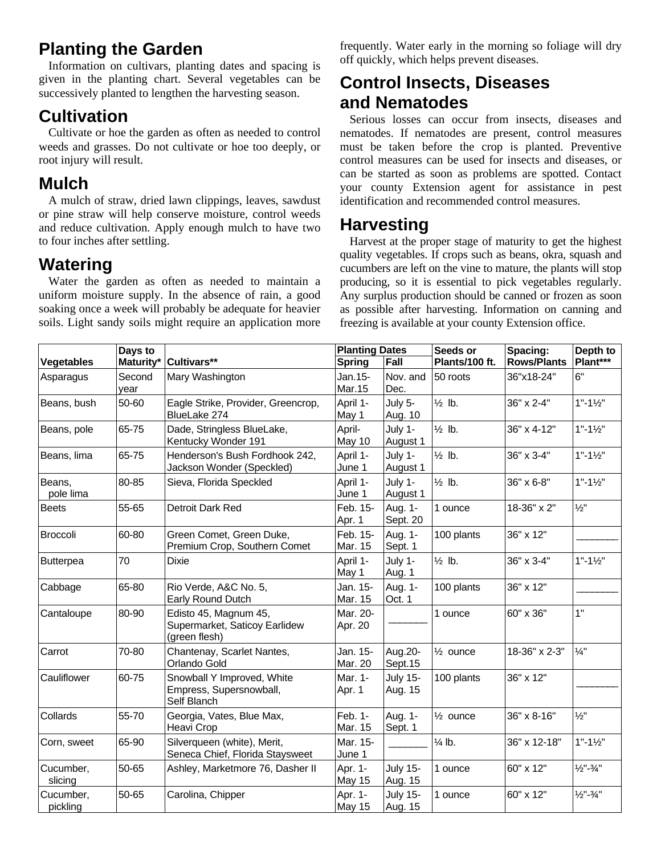# **Planting the Garden**

Information on cultivars, planting dates and spacing is given in the planting chart. Several vegetables can be successively planted to lengthen the harvesting season.

# **Cultivation**

Cultivate or hoe the garden as often as needed to control weeds and grasses. Do not cultivate or hoe too deeply, or root injury will result.

## **Mulch**

A mulch of straw, dried lawn clippings, leaves, sawdust or pine straw will help conserve moisture, control weeds and reduce cultivation. Apply enough mulch to have two to four inches after settling.

## **Watering**

Water the garden as often as needed to maintain a uniform moisture supply. In the absence of rain, a good soaking once a week will probably be adequate for heavier soils. Light sandy soils might require an application more

frequently. Water early in the morning so foliage will dry off quickly, which helps prevent diseases.

# **Control Insects, Diseases and Nematodes**

Serious losses can occur from insects, diseases and nematodes. If nematodes are present, control measures must be taken before the crop is planted. Preventive control measures can be used for insects and diseases, or can be started as soon as problems are spotted. Contact your county Extension agent for assistance in pest identification and recommended control measures.

# **Harvesting**

Harvest at the proper stage of maturity to get the highest quality vegetables. If crops such as beans, okra, squash and cucumbers are left on the vine to mature, the plants will stop producing, so it is essential to pick vegetables regularly. Any surplus production should be canned or frozen as soon as possible after harvesting. Information on canning and freezing is available at your county Extension office.

|                       | Days to        |                                                                         | <b>Planting Dates</b>    |                            | Seeds or            | Spacing:           | Depth to                         |  |
|-----------------------|----------------|-------------------------------------------------------------------------|--------------------------|----------------------------|---------------------|--------------------|----------------------------------|--|
| <b>Vegetables</b>     | Maturity*      | Cultivars**                                                             | <b>Spring</b>            | Fall                       | Plants/100 ft.      | <b>Rows/Plants</b> | Plant***                         |  |
| Asparagus             | Second<br>vear | Mary Washington                                                         | Jan.15-<br>Mar.15        | Nov. and<br>Dec.           | 50 roots            | 36"x18-24"         | 6"                               |  |
| Beans, bush           | 50-60          | Eagle Strike, Provider, Greencrop,<br>BlueLake 274                      | April 1-<br>May 1        | July 5-<br>Aug. 10         | $\frac{1}{2}$ lb.   | 36" x 2-4"         | $1" - 1\frac{1}{2}"$             |  |
| Beans, pole           | 65-75          | Dade, Stringless BlueLake,<br>Kentucky Wonder 191                       | April-<br>May 10         | July 1-<br>August 1        | $\frac{1}{2}$ lb.   | 36" x 4-12"        | $1" - 1\frac{1}{2}"$             |  |
| Beans, lima           | 65-75          | Henderson's Bush Fordhook 242,<br>Jackson Wonder (Speckled)             | April 1-<br>June 1       | July 1-<br>August 1        | $\frac{1}{2}$ lb.   | 36" x 3-4"         | $1" - 1\frac{1}{2}"$             |  |
| Beans,<br>pole lima   | 80-85          | Sieva, Florida Speckled                                                 | April 1-<br>June 1       | July 1-<br>August 1        | $\frac{1}{2}$ lb.   | 36" x 6-8"         | $1" - 1\frac{1}{2}"$             |  |
| <b>Beets</b>          | 55-65          | Detroit Dark Red                                                        | Feb. 15-<br>Apr. 1       | Aug. 1-<br>Sept. 20        | 1 ounce             | 18-36" x 2"        | $\frac{1}{2}$ "                  |  |
| <b>Broccoli</b>       | 60-80          | Green Comet, Green Duke,<br>Premium Crop, Southern Comet                | Feb. 15-<br>Mar. 15      | Aug. 1-<br>Sept. 1         | 100 plants          | 36" x 12"          |                                  |  |
| Butterpea             | 70             | <b>Dixie</b>                                                            | April 1-<br>May 1        | July 1-<br>Aug. 1          | $\frac{1}{2}$ lb.   | 36" x 3-4"         | $1" - 1\frac{1}{2}"$             |  |
| Cabbage               | 65-80          | Rio Verde, A&C No. 5,<br>Early Round Dutch                              | Jan. 15-<br>Mar. 15      | Aug. 1-<br>Oct. 1          | 100 plants          | 36" x 12"          |                                  |  |
| Cantaloupe            | 80-90          | Edisto 45, Magnum 45,<br>Supermarket, Saticoy Earlidew<br>(green flesh) | Mar. 20-<br>Apr. 20      |                            | 1 ounce             | 60" x 36"          | 1"                               |  |
| Carrot                | 70-80          | Chantenay, Scarlet Nantes,<br>Orlando Gold                              | Jan. 15-<br>Mar. 20      | Aug.20-<br>Sept.15         | $\frac{1}{2}$ ounce | 18-36" x 2-3"      | $\frac{1}{4}$ "                  |  |
| Cauliflower           | 60-75          | Snowball Y Improved, White<br>Empress, Supersnowball,<br>Self Blanch    | Mar. 1-<br>Apr. 1        | <b>July 15-</b><br>Aug. 15 | 100 plants          | 36" x 12"          |                                  |  |
| Collards              | 55-70          | Georgia, Vates, Blue Max,<br>Heavi Crop                                 | Feb. 1-<br>Mar. 15       | Aug. 1-<br>Sept. 1         | $\frac{1}{2}$ ounce | 36" x 8-16"        | $\frac{1}{2}$ "                  |  |
| Corn, sweet           | 65-90          | Silverqueen (white), Merit,<br>Seneca Chief, Florida Staysweet          | Mar. 15-<br>June 1       |                            | $\frac{1}{4}$ lb.   | 36" x 12-18"       | $1" - 1\frac{1}{2"$              |  |
| Cucumber,<br>slicing  | $50 - 65$      | Ashley, Marketmore 76, Dasher II                                        | Apr. 1-<br><b>May 15</b> | <b>July 15-</b><br>Aug. 15 | 1 ounce             | 60" x 12"          | $\frac{1}{2}$ "- $\frac{3}{4}$ " |  |
| Cucumber,<br>pickling | 50-65          | Carolina, Chipper                                                       | Apr. 1-<br>May 15        | <b>July 15-</b><br>Aug. 15 | 1 ounce             | 60" x 12"          | $\frac{1}{2}$ "- $\frac{3}{4}$ " |  |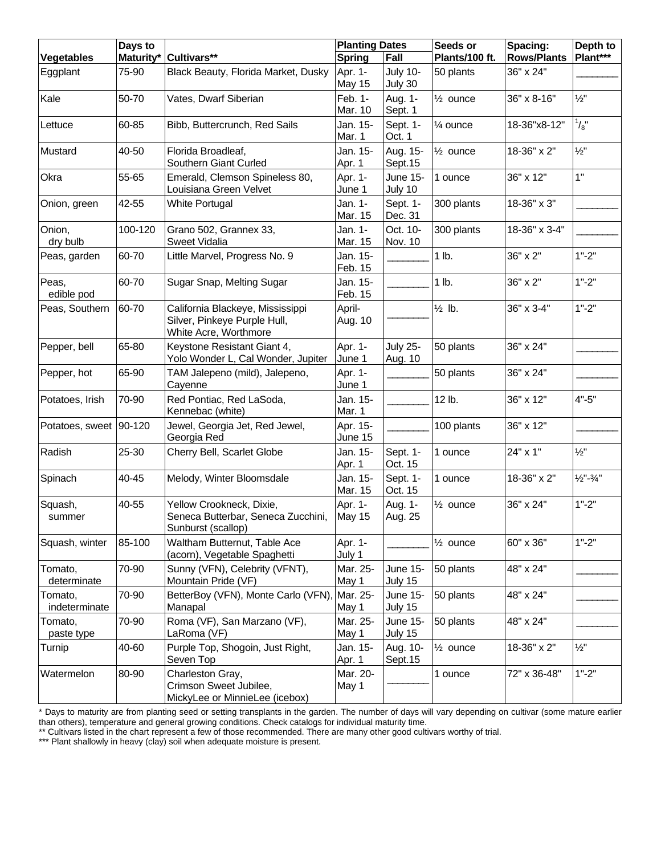|                          | Days to   |                                                                                           | <b>Planting Dates</b> |                            | Seeds or            | Spacing:           | Depth to                         |
|--------------------------|-----------|-------------------------------------------------------------------------------------------|-----------------------|----------------------------|---------------------|--------------------|----------------------------------|
| <b>Vegetables</b>        | Maturity* | Cultivars**                                                                               | <b>Spring</b>         | Fall                       | Plants/100 ft.      | <b>Rows/Plants</b> | Plant***                         |
| Eggplant                 | 75-90     | Black Beauty, Florida Market, Dusky                                                       | Apr. 1-<br>May 15     | <b>July 10-</b><br>July 30 | 50 plants           | 36" x 24"          |                                  |
| Kale                     | 50-70     | Vates, Dwarf Siberian                                                                     | Feb. 1-<br>Mar. 10    | Aug. 1-<br>Sept. 1         | $\frac{1}{2}$ ounce | 36" x 8-16"        | $\frac{1}{2}$ "                  |
| Lettuce                  | 60-85     | Bibb, Buttercrunch, Red Sails                                                             | Jan. 15-<br>Mar. 1    | Sept. 1-<br>Oct. 1         | 1⁄4 ounce           | 18-36"x8-12"       | $^{1}/_{8}$ "                    |
| Mustard                  | 40-50     | Florida Broadleaf,<br>Southern Giant Curled                                               | Jan. 15-<br>Apr. 1    | Aug. 15-<br>Sept.15        | $\frac{1}{2}$ ounce | 18-36" x 2"        | $\frac{1}{2}$ "                  |
| Okra                     | 55-65     | Emerald, Clemson Spineless 80,<br>Louisiana Green Velvet                                  | Apr. 1-<br>June 1     | <b>June 15-</b><br>July 10 | 1 ounce             | 36" x 12"          | 1"                               |
| Onion, green             | 42-55     | <b>White Portugal</b>                                                                     | Jan. 1-<br>Mar. 15    | Sept. 1-<br>Dec. 31        | 300 plants          | 18-36" x 3"        |                                  |
| Onion,<br>dry bulb       | 100-120   | Grano 502, Grannex 33,<br>Sweet Vidalia                                                   | Jan. 1-<br>Mar. 15    | Oct. 10-<br>Nov. 10        | 300 plants          | 18-36" x 3-4"      |                                  |
| Peas, garden             | 60-70     | Little Marvel, Progress No. 9                                                             | Jan. 15-<br>Feb. 15   |                            | 1 lb.               | 36" x 2"           | $1" - 2"$                        |
| Peas,<br>edible pod      | 60-70     | Sugar Snap, Melting Sugar                                                                 | Jan. 15-<br>Feb. 15   |                            | 1 lb.               | 36" x 2"           | $1" - 2"$                        |
| Peas, Southern           | 60-70     | California Blackeye, Mississippi<br>Silver, Pinkeye Purple Hull,<br>White Acre, Worthmore | April-<br>Aug. 10     |                            | $\frac{1}{2}$ lb.   | 36" x 3-4"         | $1" - 2"$                        |
| Pepper, bell             | 65-80     | Keystone Resistant Giant 4,<br>Yolo Wonder L, Cal Wonder, Jupiter                         | Apr. 1-<br>June 1     | <b>July 25-</b><br>Aug. 10 | 50 plants           | 36" x 24"          |                                  |
| Pepper, hot              | 65-90     | TAM Jalepeno (mild), Jalepeno,<br>Cayenne                                                 | Apr. 1-<br>June 1     |                            | 50 plants           | 36" x 24"          |                                  |
| Potatoes, Irish          | 70-90     | Red Pontiac, Red LaSoda,<br>Kennebac (white)                                              | Jan. 15-<br>Mar. 1    |                            | 12 lb.              | 36" x 12"          | $4" - 5"$                        |
| Potatoes, sweet          | 90-120    | Jewel, Georgia Jet, Red Jewel,<br>Georgia Red                                             | Apr. 15-<br>June 15   |                            | 100 plants          | 36" x 12"          |                                  |
| Radish                   | 25-30     | Cherry Bell, Scarlet Globe                                                                | Jan. 15-<br>Apr. 1    | Sept. 1-<br>Oct. 15        | 1 ounce             | 24" x 1"           | $\frac{1}{2}$ "                  |
| Spinach                  | 40-45     | Melody, Winter Bloomsdale                                                                 | Jan. 15-<br>Mar. 15   | Sept. 1-<br>Oct. 15        | 1 ounce             | 18-36" x 2"        | $\frac{1}{2}$ "- $\frac{3}{4}$ " |
| Squash,<br>summer        | 40-55     | Yellow Crookneck, Dixie,<br>Seneca Butterbar, Seneca Zucchini,<br>Sunburst (scallop)      | Apr. 1-<br>May 15     | Aug. 1-<br>Aug. 25         | $\frac{1}{2}$ ounce | 36" x 24"          | $1" - 2"$                        |
| Squash, winter           | 85-100    | Waltham Butternut, Table Ace<br>(acorn), Vegetable Spaghetti                              | Apr. 1-<br>July 1     |                            | $\frac{1}{2}$ ounce | 60" x 36"          | $1" - 2"$                        |
| Tomato,<br>determinate   | 70-90     | Sunny (VFN), Celebrity (VFNT),<br>Mountain Pride (VF)                                     | Mar. 25-<br>May 1     | June 15-<br>July 15        | 50 plants           | 48" x 24"          |                                  |
| Tomato,<br>indeterminate | 70-90     | BetterBoy (VFN), Monte Carlo (VFN),<br>Manapal                                            | Mar. 25-<br>May 1     | June 15-<br>July 15        | 50 plants           | 48" x 24"          |                                  |
| Tomato,<br>paste type    | 70-90     | Roma (VF), San Marzano (VF),<br>LaRoma (VF)                                               | Mar. 25-<br>May 1     | June 15-<br>July 15        | 50 plants           | 48" x 24"          |                                  |
| Turnip                   | 40-60     | Purple Top, Shogoin, Just Right,<br>Seven Top                                             | Jan. 15-<br>Apr. 1    | Aug. 10-<br>Sept.15        | $\frac{1}{2}$ ounce | 18-36" x 2"        | $\frac{1}{2}$ "                  |
| Watermelon               | 80-90     | Charleston Gray,<br>Crimson Sweet Jubilee,<br>MickyLee or MinnieLee (icebox)              | Mar. 20-<br>May 1     |                            | 1 ounce             | 72" x 36-48"       | $1" - 2"$                        |

\* Days to maturity are from planting seed or setting transplants in the garden. The number of days will vary depending on cultivar (some mature earlier than others), temperature and general growing conditions. Check catalogs for individual maturity time.

\*\* Cultivars listed in the chart represent a few of those recommended. There are many other good cultivars worthy of trial.

\*\*\* Plant shallowly in heavy (clay) soil when adequate moisture is present.